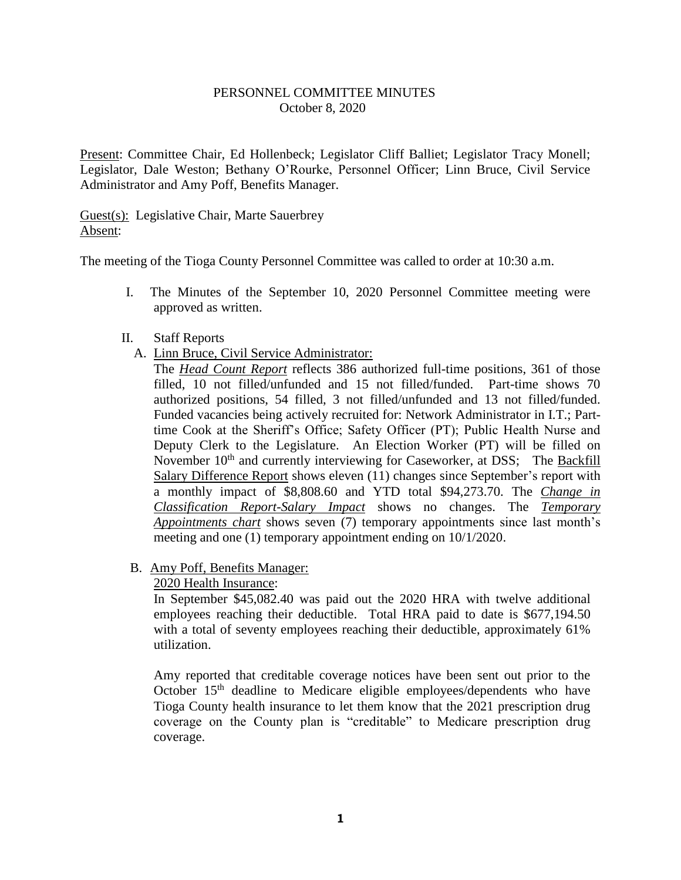### PERSONNEL COMMITTEE MINUTES October 8, 2020

Present: Committee Chair, Ed Hollenbeck; Legislator Cliff Balliet; Legislator Tracy Monell; Legislator, Dale Weston; Bethany O'Rourke, Personnel Officer; Linn Bruce, Civil Service Administrator and Amy Poff, Benefits Manager.

Guest(s): Legislative Chair, Marte Sauerbrey Absent:

The meeting of the Tioga County Personnel Committee was called to order at 10:30 a.m.

I. The Minutes of the September 10, 2020 Personnel Committee meeting were approved as written.

#### II. Staff Reports

A. Linn Bruce, Civil Service Administrator:

The *Head Count Report* reflects 386 authorized full-time positions, 361 of those filled, 10 not filled/unfunded and 15 not filled/funded. Part-time shows 70 authorized positions, 54 filled, 3 not filled/unfunded and 13 not filled/funded. Funded vacancies being actively recruited for: Network Administrator in I.T.; Parttime Cook at the Sheriff's Office; Safety Officer (PT); Public Health Nurse and Deputy Clerk to the Legislature. An Election Worker (PT) will be filled on November  $10<sup>th</sup>$  and currently interviewing for Caseworker, at DSS; The Backfill Salary Difference Report shows eleven (11) changes since September's report with a monthly impact of \$8,808.60 and YTD total \$94,273.70. The *Change in Classification Report-Salary Impact* shows no changes. The *Temporary Appointments chart* shows seven (7) temporary appointments since last month's meeting and one (1) temporary appointment ending on 10/1/2020.

### B. Amy Poff, Benefits Manager:

### 2020 Health Insurance:

In September \$45,082.40 was paid out the 2020 HRA with twelve additional employees reaching their deductible. Total HRA paid to date is \$677,194.50 with a total of seventy employees reaching their deductible, approximately 61% utilization.

Amy reported that creditable coverage notices have been sent out prior to the October 15<sup>th</sup> deadline to Medicare eligible employees/dependents who have Tioga County health insurance to let them know that the 2021 prescription drug coverage on the County plan is "creditable" to Medicare prescription drug coverage.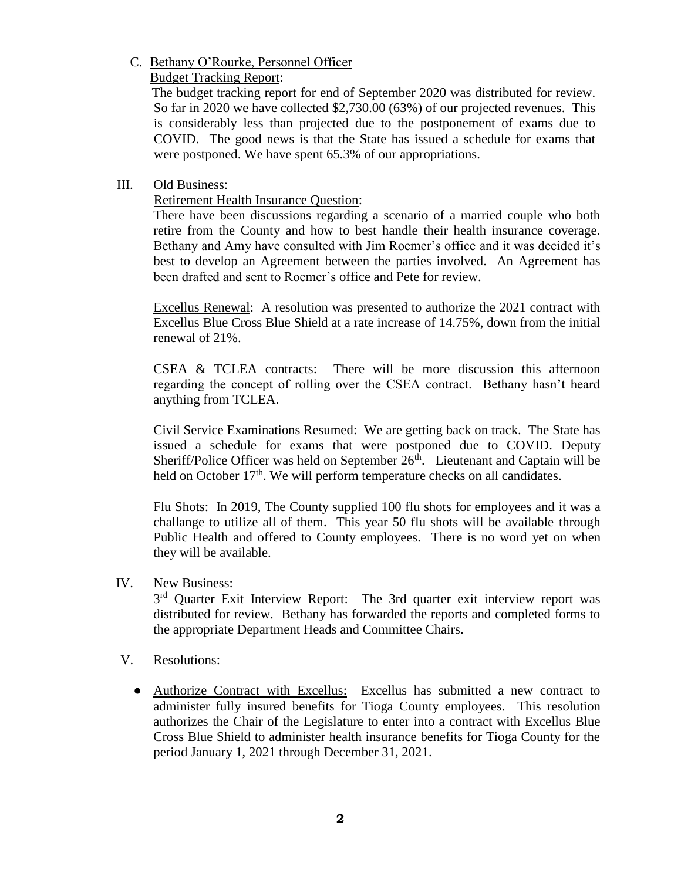## C. Bethany O'Rourke, Personnel Officer

Budget Tracking Report:

 The budget tracking report for end of September 2020 was distributed for review. So far in 2020 we have collected \$2,730.00 (63%) of our projected revenues. This is considerably less than projected due to the postponement of exams due to COVID. The good news is that the State has issued a schedule for exams that were postponed. We have spent 65.3% of our appropriations.

# III. Old Business:

Retirement Health Insurance Question:

There have been discussions regarding a scenario of a married couple who both retire from the County and how to best handle their health insurance coverage. Bethany and Amy have consulted with Jim Roemer's office and it was decided it's best to develop an Agreement between the parties involved. An Agreement has been drafted and sent to Roemer's office and Pete for review.

Excellus Renewal: A resolution was presented to authorize the 2021 contract with Excellus Blue Cross Blue Shield at a rate increase of 14.75%, down from the initial renewal of 21%.

CSEA & TCLEA contracts: There will be more discussion this afternoon regarding the concept of rolling over the CSEA contract. Bethany hasn't heard anything from TCLEA.

Civil Service Examinations Resumed: We are getting back on track. The State has issued a schedule for exams that were postponed due to COVID. Deputy Sheriff/Police Officer was held on September  $26<sup>th</sup>$ . Lieutenant and Captain will be held on October 17<sup>th</sup>. We will perform temperature checks on all candidates.

Flu Shots: In 2019, The County supplied 100 flu shots for employees and it was a challange to utilize all of them. This year 50 flu shots will be available through Public Health and offered to County employees. There is no word yet on when they will be available.

## IV. New Business:

3<sup>rd</sup> Quarter Exit Interview Report: The 3rd quarter exit interview report was distributed for review. Bethany has forwarded the reports and completed forms to the appropriate Department Heads and Committee Chairs.

- V. Resolutions:
	- Authorize Contract with Excellus: Excellus has submitted a new contract to administer fully insured benefits for Tioga County employees. This resolution authorizes the Chair of the Legislature to enter into a contract with Excellus Blue Cross Blue Shield to administer health insurance benefits for Tioga County for the period January 1, 2021 through December 31, 2021.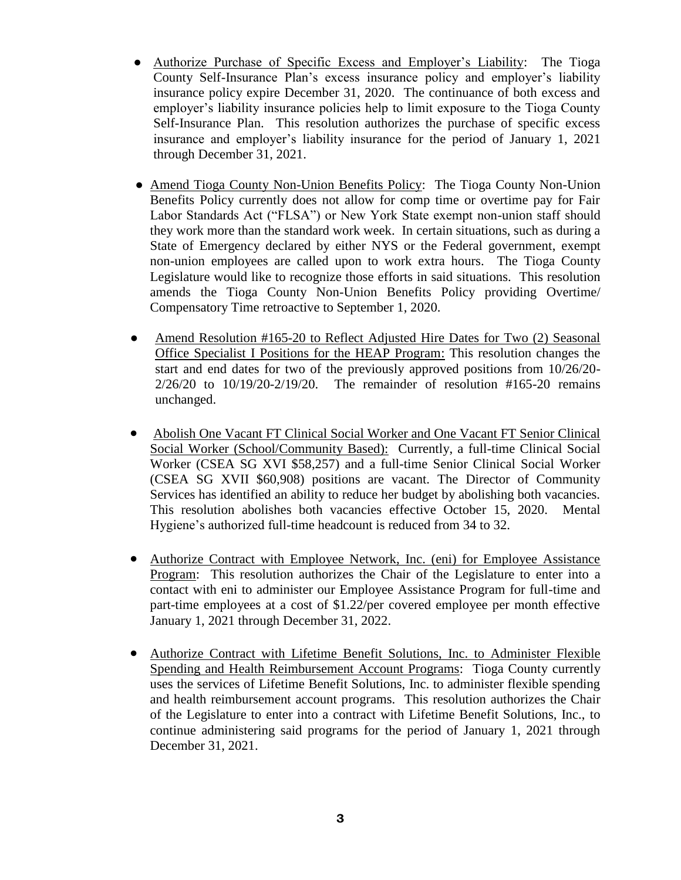- Authorize Purchase of Specific Excess and Employer's Liability: The Tioga County Self-Insurance Plan's excess insurance policy and employer's liability insurance policy expire December 31, 2020. The continuance of both excess and employer's liability insurance policies help to limit exposure to the Tioga County Self-Insurance Plan. This resolution authorizes the purchase of specific excess insurance and employer's liability insurance for the period of January 1, 2021 through December 31, 2021.
- Amend Tioga County Non-Union Benefits Policy: The Tioga County Non-Union Benefits Policy currently does not allow for comp time or overtime pay for Fair Labor Standards Act ("FLSA") or New York State exempt non-union staff should they work more than the standard work week. In certain situations, such as during a State of Emergency declared by either NYS or the Federal government, exempt non-union employees are called upon to work extra hours. The Tioga County Legislature would like to recognize those efforts in said situations. This resolution amends the Tioga County Non-Union Benefits Policy providing Overtime/ Compensatory Time retroactive to September 1, 2020.
- Amend Resolution #165-20 to Reflect Adjusted Hire Dates for Two (2) Seasonal Office Specialist I Positions for the HEAP Program: This resolution changes the start and end dates for two of the previously approved positions from 10/26/20- 2/26/20 to 10/19/20-2/19/20. The remainder of resolution #165-20 remains unchanged.
- Abolish One Vacant FT Clinical Social Worker and One Vacant FT Senior Clinical Social Worker (School/Community Based): Currently, a full-time Clinical Social Worker (CSEA SG XVI \$58,257) and a full-time Senior Clinical Social Worker (CSEA SG XVII \$60,908) positions are vacant. The Director of Community Services has identified an ability to reduce her budget by abolishing both vacancies. This resolution abolishes both vacancies effective October 15, 2020. Mental Hygiene's authorized full-time headcount is reduced from 34 to 32.
- Authorize Contract with Employee Network, Inc. (eni) for Employee Assistance Program: This resolution authorizes the Chair of the Legislature to enter into a contact with eni to administer our Employee Assistance Program for full-time and part-time employees at a cost of \$1.22/per covered employee per month effective January 1, 2021 through December 31, 2022.
- Authorize Contract with Lifetime Benefit Solutions, Inc. to Administer Flexible Spending and Health Reimbursement Account Programs: Tioga County currently uses the services of Lifetime Benefit Solutions, Inc. to administer flexible spending and health reimbursement account programs. This resolution authorizes the Chair of the Legislature to enter into a contract with Lifetime Benefit Solutions, Inc., to continue administering said programs for the period of January 1, 2021 through December 31, 2021.